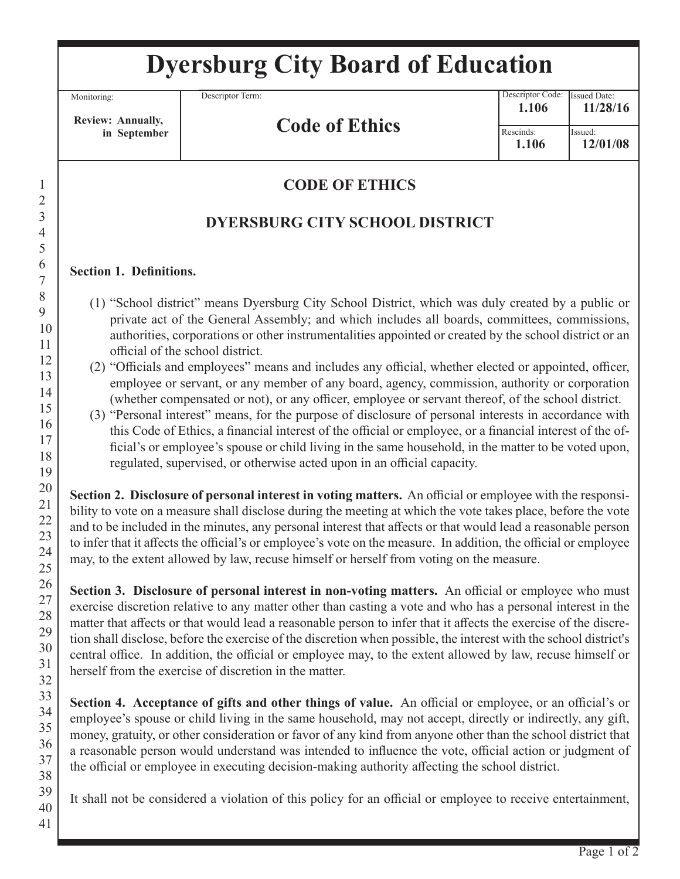# **Dyersburg City Board of Education**

Monitoring:

1

Descriptor Term:

 **Review: Annually, in September**

## **Code of Ethics**

Issued: Descriptor Code: Rescinds: Issued Date: **1.106 11/28/16 1.106 12/01/08**

### **CODE OF ETHICS**

### **DYERSBURG CITY SCHOOL DISTRICT**

#### **Section 1. Definitions.**

- (1) "School district" means Dyersburg City School District, which was duly created by a public or private act of the General Assembly; and which includes all boards, committees, commissions, authorities, corporations or other instrumentalities appointed or created by the school district or an official of the school district.
- (2) "Officials and employees" means and includes any official, whether elected or appointed, officer, employee or servant, or any member of any board, agency, commission, authority or corporation (whether compensated or not), or any officer, employee or servant thereof, of the school district.
- (3) "Personal interest" means, for the purpose of disclosure of personal interests in accordance with this Code of Ethics, a financial interest of the official or employee, or a financial interest of the official's or employee's spouse or child living in the same household, in the matter to be voted upon, regulated, supervised, or otherwise acted upon in an official capacity.

**Section 2. Disclosure of personal interest in voting matters.** An official or employee with the responsibility to vote on a measure shall disclose during the meeting at which the vote takes place, before the vote and to be included in the minutes, any personal interest that affects or that would lead a reasonable person to infer that it affects the official's or employee's vote on the measure. In addition, the official or employee may, to the extent allowed by law, recuse himself or herself from voting on the measure.

**Section 3. Disclosure of personal interest in non-voting matters.** An official or employee who must exercise discretion relative to any matter other than casting a vote and who has a personal interest in the matter that affects or that would lead a reasonable person to infer that it affects the exercise of the discretion shall disclose, before the exercise of the discretion when possible, the interest with the school district's central office. In addition, the official or employee may, to the extent allowed by law, recuse himself or herself from the exercise of discretion in the matter.

**Section 4. Acceptance of gifts and other things of value.** An official or employee, or an official's or employee's spouse or child living in the same household, may not accept, directly or indirectly, any gift, money, gratuity, or other consideration or favor of any kind from anyone other than the school district that a reasonable person would understand was intended to influence the vote, official action or judgment of the official or employee in executing decision-making authority affecting the school district.

It shall not be considered a violation of this policy for an official or employee to receive entertainment,